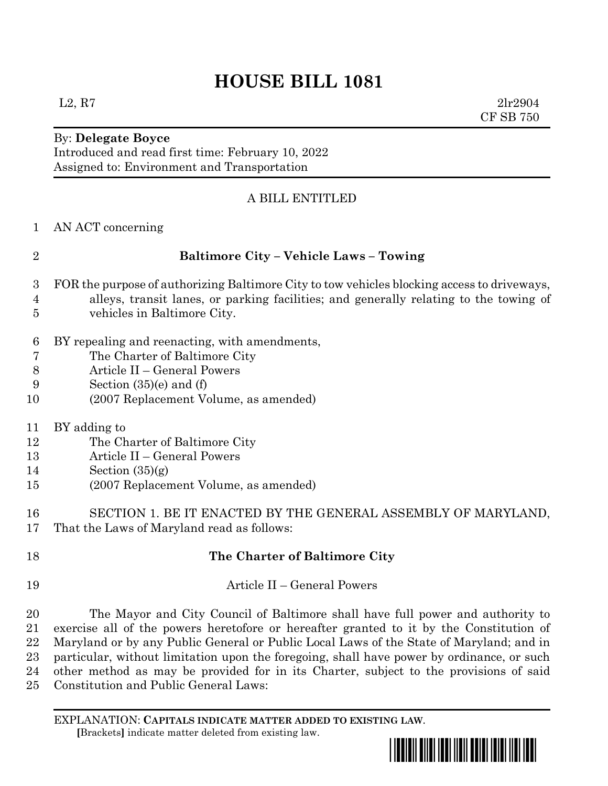# **HOUSE BILL 1081**

By: **Delegate Boyce**

Introduced and read first time: February 10, 2022 Assigned to: Environment and Transportation

### A BILL ENTITLED

| AN ACT concerning |
|-------------------|
|                   |
|                   |
|                   |
|                   |

## **Baltimore City – Vehicle Laws – Towing**

- FOR the purpose of authorizing Baltimore City to tow vehicles blocking access to driveways,
- alleys, transit lanes, or parking facilities; and generally relating to the towing of vehicles in Baltimore City.
- BY repealing and reenacting, with amendments,
- The Charter of Baltimore City
- Article II General Powers
- Section (35)(e) and (f)
- (2007 Replacement Volume, as amended)
- BY adding to
- The Charter of Baltimore City
- Article II General Powers
- 14 Section  $(35)(g)$
- (2007 Replacement Volume, as amended)
- SECTION 1. BE IT ENACTED BY THE GENERAL ASSEMBLY OF MARYLAND, That the Laws of Maryland read as follows:
- **The Charter of Baltimore City** Article II – General Powers The Mayor and City Council of Baltimore shall have full power and authority to exercise all of the powers heretofore or hereafter granted to it by the Constitution of Maryland or by any Public General or Public Local Laws of the State of Maryland; and in particular, without limitation upon the foregoing, shall have power by ordinance, or such other method as may be provided for in its Charter, subject to the provisions of said
- Constitution and Public General Laws:

EXPLANATION: **CAPITALS INDICATE MATTER ADDED TO EXISTING LAW**.  **[**Brackets**]** indicate matter deleted from existing law.



 $L2, R7$  2lr2904 CF SB 750